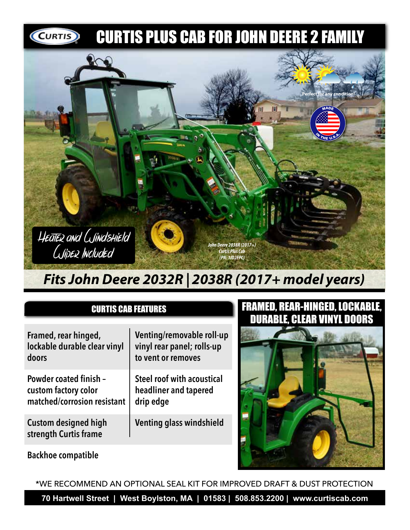

## *Fits John Deere 2032R | 2038R (2017+ model years)*

## CURTIS CAB FEATURES

**Framed, rear hinged, lockable durable clear vinyl doors**

**Powder coated finish – custom factory color matched/corrosion resistant**

**Custom designed high strength Curtis frame**

**Venting/removable roll-up vinyl rear panel; rolls-up to vent or removes**

**Steel roof with acoustical headliner and tapered drip edge**

**Venting glass windshield**

## FRAMED, REAR-HINGED, LOCKABLE, DURABLE, CLEAR VINYL DOORS



**Backhoe compatible**

\*WE RECOMMEND AN OPTIONAL SEAL KIT FOR IMPROVED DRAFT & DUST PROTECTION

**70 Hartwell Street | West Boylston, MA | 01583 | 508.853.2200 | www.curtiscab.com**